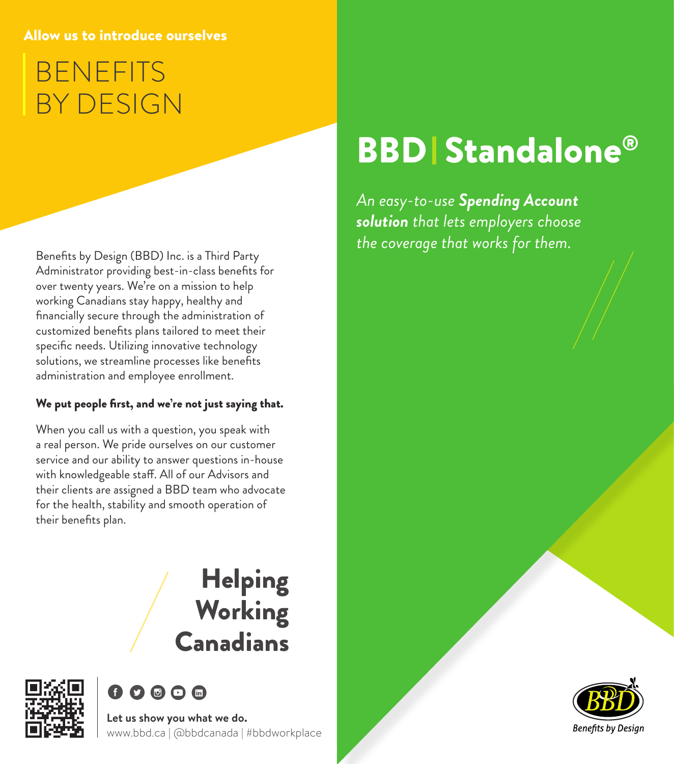#### Allow us to introduce ourselves

## BENEFITS BY DESIGN

Benefits by Design (BBD) Inc. is a Third Party Administrator providing best-in-class benefits for over twenty years. We're on a mission to help working Canadians stay happy, healthy and financially secure through the administration of customized benefits plans tailored to meet their specific needs. Utilizing innovative technology solutions, we streamline processes like benefits administration and employee enrollment.

#### We put people first, and we're not just saying that.

When you call us with a question, you speak with a real person. We pride ourselves on our customer service and our ability to answer questions in-house with knowledgeable staff. All of our Advisors and their clients are assigned a BBD team who advocate for the health, stability and smooth operation of their benefits plan.

### Helping **Working Canadians**





**Let us show you what we do.** www.bbd.ca | @bbdcanada | #bbdworkplace

# **BBD** Standalone®

*An easy-to-use Spending Account solution that lets employers choose the coverage that works for them.*